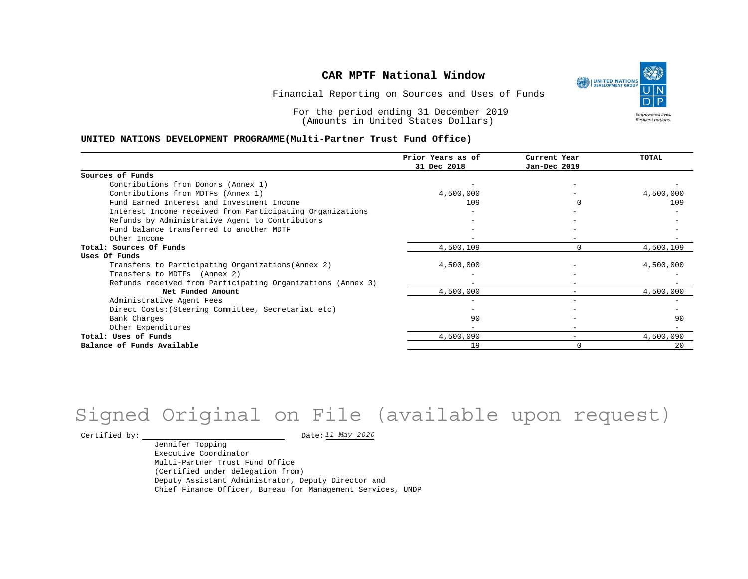UNITED NATIONS **Empowered lives Resilient nations.** 

Financial Reporting on Sources and Uses of Funds

For the period ending 31 December 2019 (Amounts in United States Dollars)

### **UNITED NATIONS DEVELOPMENT PROGRAMME(Multi-Partner Trust Fund Office)**

|                                                             | Prior Years as of | Current Year             | <b>TOTAL</b> |
|-------------------------------------------------------------|-------------------|--------------------------|--------------|
|                                                             | 31 Dec 2018       | Jan-Dec 2019             |              |
| Sources of Funds                                            |                   |                          |              |
| Contributions from Donors (Annex 1)                         |                   |                          |              |
| Contributions from MDTFs (Annex 1)                          | 4,500,000         |                          | 4,500,000    |
| Fund Earned Interest and Investment Income                  | 109               |                          | 109          |
| Interest Income received from Participating Organizations   |                   |                          |              |
| Refunds by Administrative Agent to Contributors             |                   |                          |              |
| Fund balance transferred to another MDTF                    |                   |                          |              |
| Other Income                                                |                   |                          |              |
| Total: Sources Of Funds                                     | 4,500,109         |                          | 4,500,109    |
| Uses Of Funds                                               |                   |                          |              |
| Transfers to Participating Organizations (Annex 2)          | 4,500,000         |                          | 4,500,000    |
| Transfers to MDTFs (Annex 2)                                |                   |                          |              |
| Refunds received from Participating Organizations (Annex 3) |                   | -                        |              |
| Net Funded Amount                                           | 4,500,000         |                          | 4,500,000    |
| Administrative Agent Fees                                   |                   |                          |              |
| Direct Costs: (Steering Committee, Secretariat etc)         |                   |                          |              |
| Bank Charges                                                | 90                |                          | 90           |
| Other Expenditures                                          |                   | $\overline{\phantom{0}}$ |              |
| Total: Uses of Funds                                        | 4,500,090         | $\overline{\phantom{0}}$ | 4,500,090    |
| Balance of Funds Available                                  | 19                |                          | 20           |

# Signed Original on File (available upon request)

Certified by:  $\frac{11 May 2020}{100}$ 

Jennifer Topping Executive Coordinator Multi-Partner Trust Fund Office (Certified under delegation from) Deputy Assistant Administrator, Deputy Director and Chief Finance Officer, Bureau for Management Services, UNDP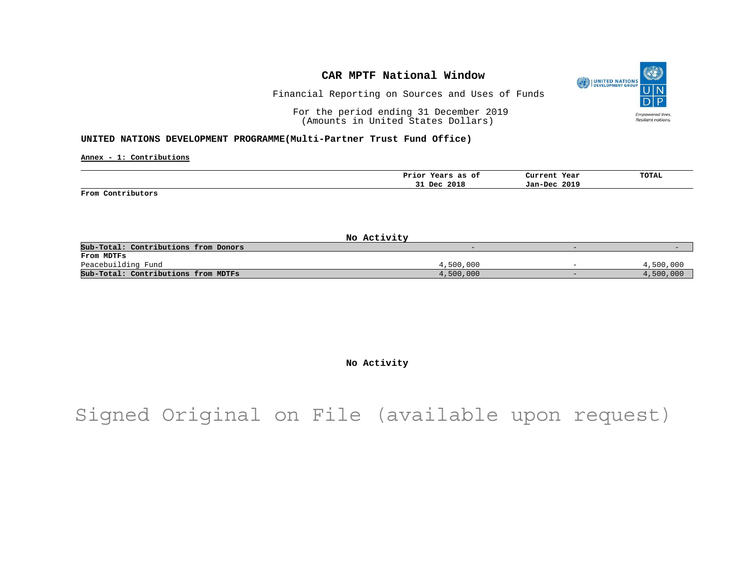

Financial Reporting on Sources and Uses of Funds

For the period ending 31 December 2019 (Amounts in United States Dollars)

### **UNITED NATIONS DEVELOPMENT PROGRAMME(Multi-Partner Trust Fund Office)**

**Annex - 1: Contributions**

|                   | Prior<br>Years<br>as of | Current Year | <b>TOTAL</b> |
|-------------------|-------------------------|--------------|--------------|
|                   | 31 Dec 2018             | Jan-Dec 2019 |              |
| From Contributors |                         |              |              |

| No Activity                          |           |                          |           |
|--------------------------------------|-----------|--------------------------|-----------|
| Sub-Total: Contributions from Donors |           | -                        |           |
| From MDTFs                           |           |                          |           |
| Peacebuilding Fund                   | 4,500,000 | $\overline{\phantom{0}}$ | 4,500,000 |
| Sub-Total: Contributions from MDTFs  | 4,500,000 | $\overline{\phantom{0}}$ | 4,500,000 |

**No Activity**

Signed Original on File (available upon request)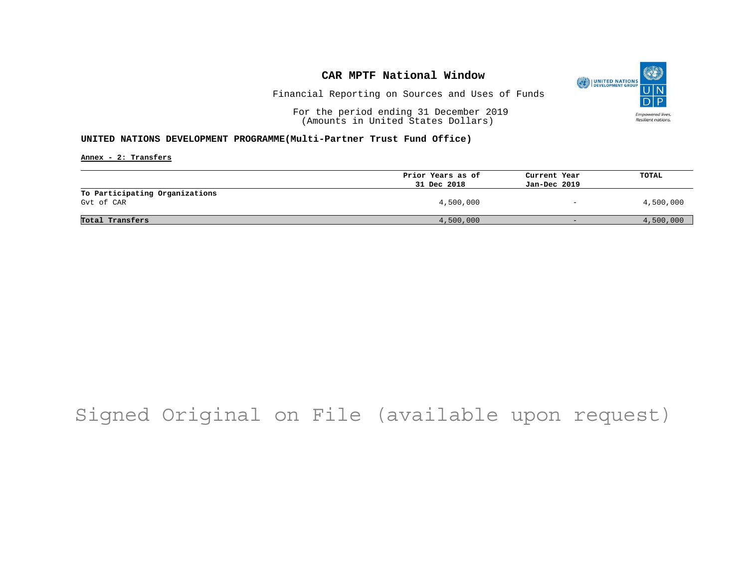

Financial Reporting on Sources and Uses of Funds

For the period ending 31 December 2019 (Amounts in United States Dollars)

## **UNITED NATIONS DEVELOPMENT PROGRAMME(Multi-Partner Trust Fund Office)**

**Annex - 2: Transfers**

|                                              | Prior Years as of | Current Year             | <b>TOTAL</b> |
|----------------------------------------------|-------------------|--------------------------|--------------|
|                                              | 31 Dec 2018       | Jan-Dec 2019             |              |
| To Participating Organizations<br>Gyt of CAR | 4,500,000         | $\overline{\phantom{0}}$ | 4,500,000    |
| Total Transfers                              | 4,500,000         | $-$                      | 4,500,000    |

# Signed Original on File (available upon request)